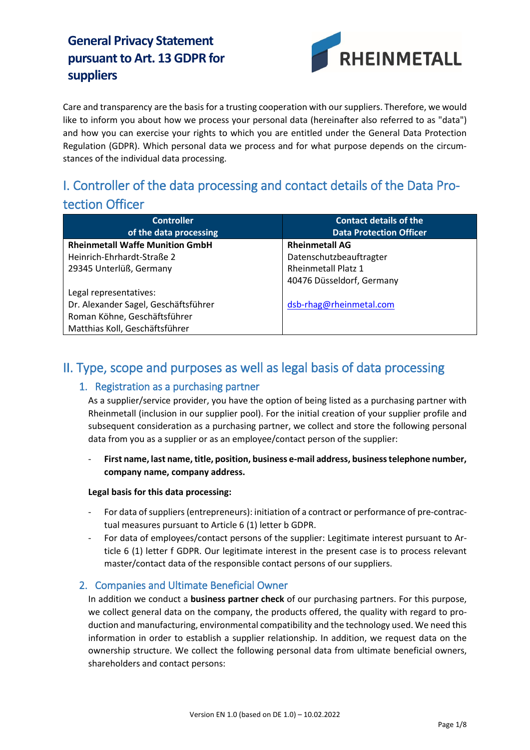

Care and transparency are the basis for a trusting cooperation with our suppliers. Therefore, we would like to inform you about how we process your personal data (hereinafter also referred to as "data") and how you can exercise your rights to which you are entitled under the General Data Protection Regulation (GDPR). Which personal data we process and for what purpose depends on the circumstances of the individual data processing.

# I. Controller of the data processing and contact details of the Data Protection Officer

| <b>Controller</b>                      | <b>Contact details of the</b>  |
|----------------------------------------|--------------------------------|
| of the data processing                 | <b>Data Protection Officer</b> |
| <b>Rheinmetall Waffe Munition GmbH</b> | <b>Rheinmetall AG</b>          |
| Heinrich-Ehrhardt-Straße 2             | Datenschutzbeauftragter        |
| 29345 Unterlüß, Germany                | <b>Rheinmetall Platz 1</b>     |
|                                        | 40476 Düsseldorf, Germany      |
| Legal representatives:                 |                                |
| Dr. Alexander Sagel, Geschäftsführer   | dsb-rhag@rheinmetal.com        |
| Roman Köhne, Geschäftsführer           |                                |
| Matthias Koll, Geschäftsführer         |                                |

## II. Type, scope and purposes as well as legal basis of data processing

#### 1. Registration as a purchasing partner

As a supplier/service provider, you have the option of being listed as a purchasing partner with Rheinmetall (inclusion in our supplier pool). For the initial creation of your supplier profile and subsequent consideration as a purchasing partner, we collect and store the following personal data from you as a supplier or as an employee/contact person of the supplier:

- **First name, last name, title, position, business e-mail address, business telephone number, company name, company address.** 

**Legal basis for this data processing:**

- For data of suppliers (entrepreneurs): initiation of a contract or performance of pre-contractual measures pursuant to Article 6 (1) letter b GDPR.
- For data of employees/contact persons of the supplier: Legitimate interest pursuant to Article 6 (1) letter f GDPR. Our legitimate interest in the present case is to process relevant master/contact data of the responsible contact persons of our suppliers.

#### 2. Companies and Ultimate Beneficial Owner

In addition we conduct a **business partner check** of our purchasing partners. For this purpose, we collect general data on the company, the products offered, the quality with regard to production and manufacturing, environmental compatibility and the technology used. We need this information in order to establish a supplier relationship. In addition, we request data on the ownership structure. We collect the following personal data from ultimate beneficial owners, shareholders and contact persons: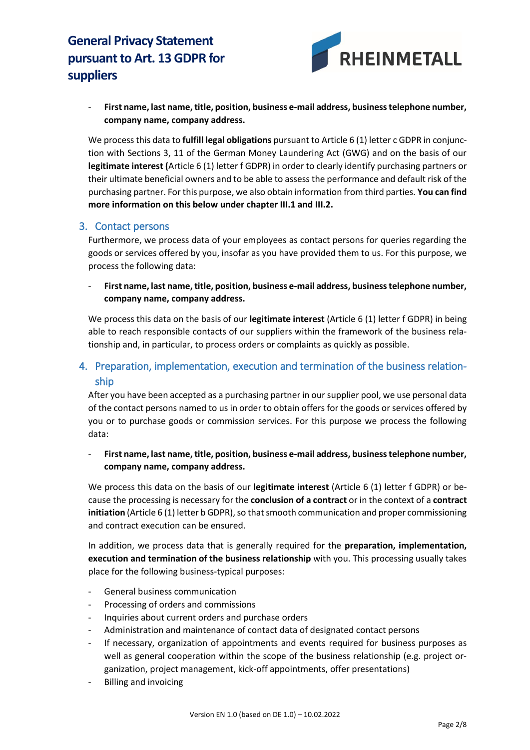

- **First name, last name, title, position, business e-mail address, business telephone number, company name, company address.** 

We process this data to **fulfill legal obligations** pursuant to Article 6 (1) letter c GDPR in conjunction with Sections 3, 11 of the German Money Laundering Act (GWG) and on the basis of our **legitimate interest (**Article 6 (1) letter f GDPR) in order to clearly identify purchasing partners or their ultimate beneficial owners and to be able to assess the performance and default risk of the purchasing partner. For this purpose, we also obtain information from third parties. **You can find more information on this below under chapter III.1 and III.2.**

#### 3. Contact persons

Furthermore, we process data of your employees as contact persons for queries regarding the goods or services offered by you, insofar as you have provided them to us. For this purpose, we process the following data:

- **First name, last name, title, position, business e-mail address, business telephone number, company name, company address.** 

We process this data on the basis of our **legitimate interest** (Article 6 (1) letter f GDPR) in being able to reach responsible contacts of our suppliers within the framework of the business relationship and, in particular, to process orders or complaints as quickly as possible.

## 4. Preparation, implementation, execution and termination of the business relationship

After you have been accepted as a purchasing partner in our supplier pool, we use personal data of the contact persons named to us in order to obtain offers for the goods or services offered by you or to purchase goods or commission services. For this purpose we process the following data:

- **First name, last name, title, position, business e-mail address, business telephone number, company name, company address.** 

We process this data on the basis of our **legitimate interest** (Article 6 (1) letter f GDPR) or because the processing is necessary for the **conclusion of a contract** or in the context of a **contract initiation** (Article 6 (1) letter b GDPR), so that smooth communication and proper commissioning and contract execution can be ensured.

In addition, we process data that is generally required for the **preparation, implementation, execution and termination of the business relationship** with you. This processing usually takes place for the following business-typical purposes:

- General business communication
- Processing of orders and commissions
- Inquiries about current orders and purchase orders
- Administration and maintenance of contact data of designated contact persons
- If necessary, organization of appointments and events required for business purposes as well as general cooperation within the scope of the business relationship (e.g. project organization, project management, kick-off appointments, offer presentations)
- Billing and invoicing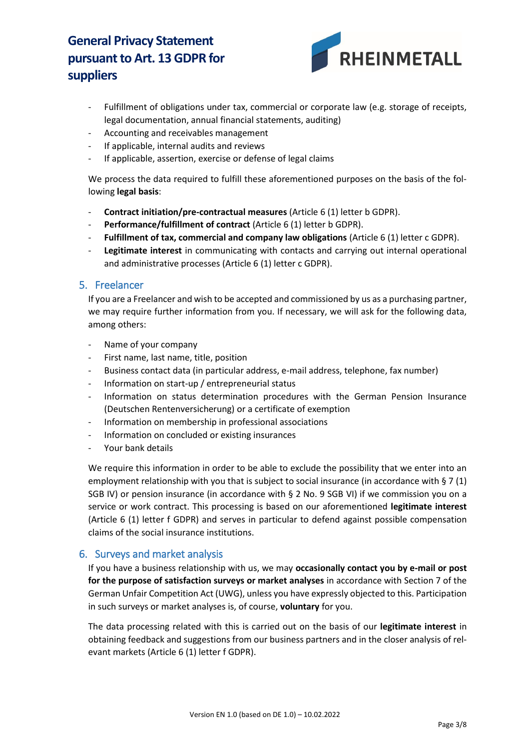

- Fulfillment of obligations under tax, commercial or corporate law (e.g. storage of receipts, legal documentation, annual financial statements, auditing)
- Accounting and receivables management
- If applicable, internal audits and reviews
- If applicable, assertion, exercise or defense of legal claims

We process the data required to fulfill these aforementioned purposes on the basis of the following **legal basis**:

- **Contract initiation/pre-contractual measures** (Article 6 (1) letter b GDPR).
- **Performance/fulfillment of contract** (Article 6 (1) letter b GDPR).
- **Fulfillment of tax, commercial and company law obligations** (Article 6 (1) letter c GDPR).
- Legitimate interest in communicating with contacts and carrying out internal operational and administrative processes (Article 6 (1) letter c GDPR).

#### 5. Freelancer

If you are a Freelancer and wish to be accepted and commissioned by us as a purchasing partner, we may require further information from you. If necessary, we will ask for the following data, among others:

- Name of your company
- First name, last name, title, position
- Business contact data (in particular address, e-mail address, telephone, fax number)
- Information on start-up / entrepreneurial status
- Information on status determination procedures with the German Pension Insurance (Deutschen Rentenversicherung) or a certificate of exemption
- Information on membership in professional associations
- Information on concluded or existing insurances
- Your bank details

We require this information in order to be able to exclude the possibility that we enter into an employment relationship with you that is subject to social insurance (in accordance with § 7 (1) SGB IV) or pension insurance (in accordance with § 2 No. 9 SGB VI) if we commission you on a service or work contract. This processing is based on our aforementioned **legitimate interest** (Article 6 (1) letter f GDPR) and serves in particular to defend against possible compensation claims of the social insurance institutions.

#### 6. Surveys and market analysis

If you have a business relationship with us, we may **occasionally contact you by e-mail or post for the purpose of satisfaction surveys or market analyses** in accordance with Section 7 of the German Unfair Competition Act (UWG), unless you have expressly objected to this. Participation in such surveys or market analyses is, of course, **voluntary** for you.

The data processing related with this is carried out on the basis of our **legitimate interest** in obtaining feedback and suggestions from our business partners and in the closer analysis of relevant markets (Article 6 (1) letter f GDPR).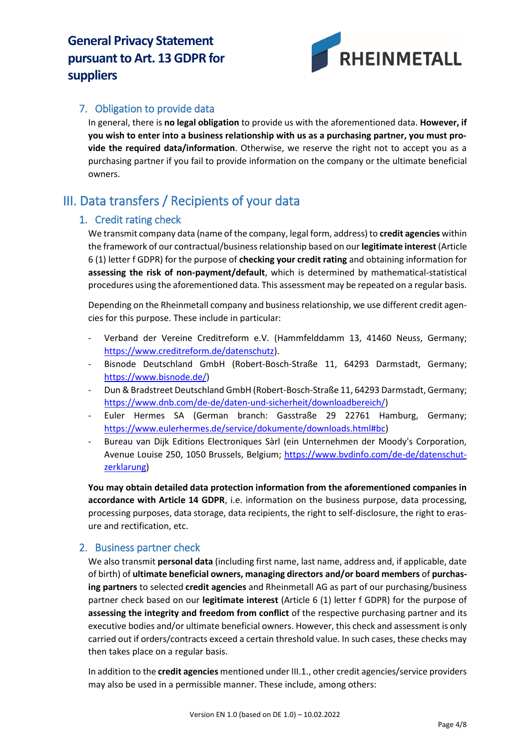

### 7. Obligation to provide data

In general, there is **no legal obligation** to provide us with the aforementioned data. **However, if you wish to enter into a business relationship with us as a purchasing partner, you must provide the required data/information**. Otherwise, we reserve the right not to accept you as a purchasing partner if you fail to provide information on the company or the ultimate beneficial owners.

## III. Data transfers / Recipients of your data

#### 1. Credit rating check

We transmit company data (name of the company, legal form, address) to **credit agencies** within the framework of our contractual/business relationship based on our **legitimate interest** (Article 6 (1) letter f GDPR) for the purpose of **checking your credit rating** and obtaining information for **assessing the risk of non-payment/default**, which is determined by mathematical-statistical procedures using the aforementioned data. This assessment may be repeated on a regular basis.

Depending on the Rheinmetall company and business relationship, we use different credit agencies for this purpose. These include in particular:

- Verband der Vereine Creditreform e.V. (Hammfelddamm 13, 41460 Neuss, Germany; [https://www.creditreform.de/datenschutz\)](https://www.creditreform.de/datenschutz).
- Bisnode Deutschland GmbH (Robert-Bosch-Straße 11, 64293 Darmstadt, Germany; [https://www.bisnode.de/\)](https://www.bisnode.de/)
- Dun & Bradstreet Deutschland GmbH (Robert-Bosch-Straße 11, 64293 Darmstadt, Germany; [https://www.dnb.com/de-de/daten-und-sicherheit/downloadbereich/\)](https://www.dnb.com/de-de/daten-und-sicherheit/downloadbereich/)
- Euler Hermes SA (German branch: Gasstraße 29 22761 Hamburg, Germany; [https://www.eulerhermes.de/service/dokumente/downloads.html#bc\)](https://www.eulerhermes.de/service/dokumente/downloads.html#bc)
- Bureau van Dijk Editions Electroniques Sàrl (ein Unternehmen der Moody's Corporation, Avenue Louise 250, 1050 Brussels, Belgium; [https://www.bvdinfo.com/de-de/datenschut](https://www.bvdinfo.com/de-de/datenschutzerklarung)[zerklarung\)](https://www.bvdinfo.com/de-de/datenschutzerklarung)

**You may obtain detailed data protection information from the aforementioned companies in accordance with Article 14 GDPR**, i.e. information on the business purpose, data processing, processing purposes, data storage, data recipients, the right to self-disclosure, the right to erasure and rectification, etc.

#### 2. Business partner check

We also transmit **personal data** (including first name, last name, address and, if applicable, date of birth) of **ultimate beneficial owners, managing directors and/or board members** of **purchasing partners** to selected **credit agencies** and Rheinmetall AG as part of our purchasing/business partner check based on our **legitimate interest** (Article 6 (1) letter f GDPR) for the purpose of **assessing the integrity and freedom from conflict** of the respective purchasing partner and its executive bodies and/or ultimate beneficial owners. However, this check and assessment is only carried out if orders/contracts exceed a certain threshold value. In such cases, these checks may then takes place on a regular basis.

In addition to the **credit agencies** mentioned under III.1., other credit agencies/service providers may also be used in a permissible manner. These include, among others: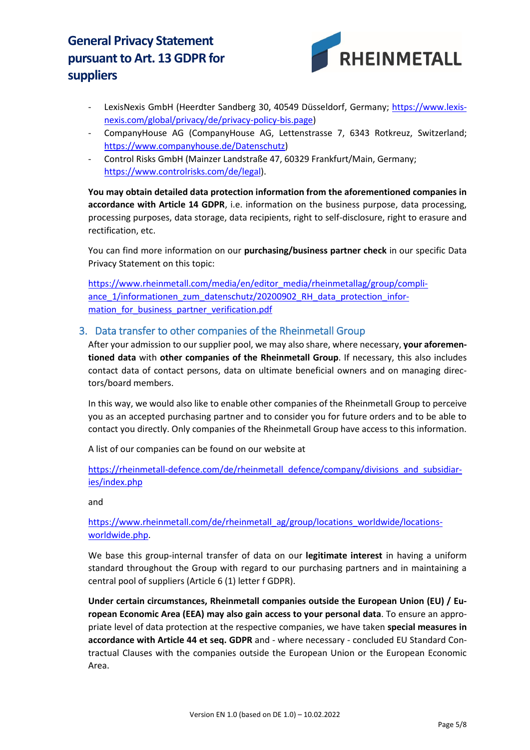

- LexisNexis GmbH (Heerdter Sandberg 30, 40549 Düsseldorf, Germany; [https://www.lexis](https://www.lexisnexis.com/global/privacy/de/privacy-policy-bis.page)[nexis.com/global/privacy/de/privacy-policy-bis.page\)](https://www.lexisnexis.com/global/privacy/de/privacy-policy-bis.page)
- CompanyHouse AG (CompanyHouse AG, Lettenstrasse 7, 6343 Rotkreuz, Switzerland; [https://www.companyhouse.de/Datenschutz\)](https://www.companyhouse.de/Datenschutz)
- Control Risks GmbH (Mainzer Landstraße 47, 60329 Frankfurt/Main, Germany; [https://www.controlrisks.com/de/legal\)](https://www.controlrisks.com/de/legal).

**You may obtain detailed data protection information from the aforementioned companies in accordance with Article 14 GDPR**, i.e. information on the business purpose, data processing, processing purposes, data storage, data recipients, right to self-disclosure, right to erasure and rectification, etc.

You can find more information on our **purchasing/business partner check** in our specific Data Privacy Statement on this topic:

[https://www.rheinmetall.com/media/en/editor\\_media/rheinmetallag/group/compli](https://www.rheinmetall.com/media/en/editor_media/rheinmetallag/group/compliance_1/informationen_zum_datenschutz/20200902_RH_data_protection_information_for_business_partner_verification.pdf)[ance\\_1/informationen\\_zum\\_datenschutz/20200902\\_RH\\_data\\_protection\\_infor](https://www.rheinmetall.com/media/en/editor_media/rheinmetallag/group/compliance_1/informationen_zum_datenschutz/20200902_RH_data_protection_information_for_business_partner_verification.pdf)mation for business partner verification.pdf

#### 3. Data transfer to other companies of the Rheinmetall Group

After your admission to our supplier pool, we may also share, where necessary, your aforemen**tioned data** with **other companies of the Rheinmetall Group**. If necessary, this also includes contact data of contact persons, data on ultimate beneficial owners and on managing directors/board members.

In this way, we would also like to enable other companies of the Rheinmetall Group to perceive you as an accepted purchasing partner and to consider you for future orders and to be able to contact you directly. Only companies of the Rheinmetall Group have access to this information.

A list of our companies can be found on our website at

[https://rheinmetall-defence.com/de/rheinmetall\\_defence/company/divisions\\_and\\_subsidiar](https://rheinmetall-defence.com/de/rheinmetall_defence/company/divisions_and_subsidiaries/index.php)[ies/index.php](https://rheinmetall-defence.com/de/rheinmetall_defence/company/divisions_and_subsidiaries/index.php)

and

#### [https://www.rheinmetall.com/de/rheinmetall\\_ag/group/locations\\_worldwide/locations](https://www.rheinmetall.com/de/rheinmetall_ag/group/locations_worldwide/locations-worldwide.php)[worldwide.php.](https://www.rheinmetall.com/de/rheinmetall_ag/group/locations_worldwide/locations-worldwide.php)

We base this group-internal transfer of data on our **legitimate interest** in having a uniform standard throughout the Group with regard to our purchasing partners and in maintaining a central pool of suppliers (Article 6 (1) letter f GDPR).

**Under certain circumstances, Rheinmetall companies outside the European Union (EU) / European Economic Area (EEA) may also gain access to your personal data**. To ensure an appropriate level of data protection at the respective companies, we have taken **special measures in accordance with Article 44 et seq. GDPR** and - where necessary - concluded EU Standard Contractual Clauses with the companies outside the European Union or the European Economic Area.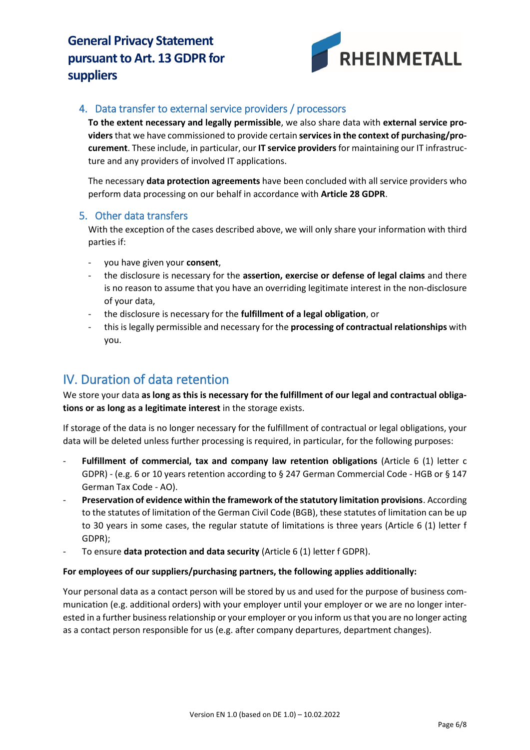

#### 4. Data transfer to external service providers / processors

**To the extent necessary and legally permissible**, we also share data with **external service providers** that we have commissioned to provide certain **services in the context of purchasing/procurement**. These include, in particular, our **IT service providers** for maintaining our IT infrastructure and any providers of involved IT applications.

The necessary **data protection agreements** have been concluded with all service providers who perform data processing on our behalf in accordance with **Article 28 GDPR**.

#### 5. Other data transfers

With the exception of the cases described above, we will only share your information with third parties if:

- you have given your **consent**,
- the disclosure is necessary for the **assertion, exercise or defense of legal claims** and there is no reason to assume that you have an overriding legitimate interest in the non-disclosure of your data,
- the disclosure is necessary for the **fulfillment of a legal obligation**, or
- this is legally permissible and necessary for the **processing of contractual relationships** with you.

## IV. Duration of data retention

We store your data **as long as this is necessary for the fulfillment of our legal and contractual obligations or as long as a legitimate interest** in the storage exists.

If storage of the data is no longer necessary for the fulfillment of contractual or legal obligations, your data will be deleted unless further processing is required, in particular, for the following purposes:

- **Fulfillment of commercial, tax and company law retention obligations** (Article 6 (1) letter c GDPR) - (e.g. 6 or 10 years retention according to § 247 German Commercial Code - HGB or § 147 German Tax Code - AO).
- **Preservation of evidence within the framework of the statutory limitation provisions**. According to the statutes of limitation of the German Civil Code (BGB), these statutes of limitation can be up to 30 years in some cases, the regular statute of limitations is three years (Article 6 (1) letter f GDPR);
- To ensure **data protection and data security** (Article 6 (1) letter f GDPR).

#### **For employees of our suppliers/purchasing partners, the following applies additionally:**

Your personal data as a contact person will be stored by us and used for the purpose of business communication (e.g. additional orders) with your employer until your employer or we are no longer interested in a further business relationship or your employer or you inform us that you are no longer acting as a contact person responsible for us (e.g. after company departures, department changes).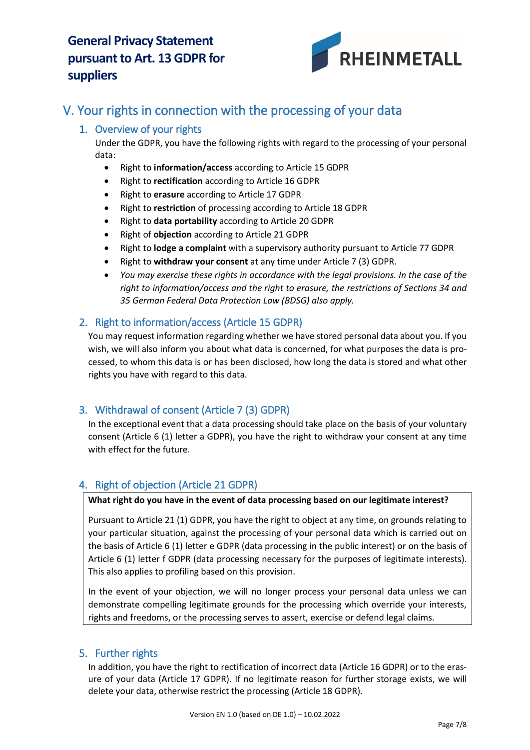

# V. Your rights in connection with the processing of your data

## 1. Overview of your rights

Under the GDPR, you have the following rights with regard to the processing of your personal data:

- Right to **information/access** according to Article 15 GDPR
- Right to **rectification** according to Article 16 GDPR
- Right to **erasure** according to Article 17 GDPR
- Right to **restriction** of processing according to Article 18 GDPR
- Right to **data portability** according to Article 20 GDPR
- Right of **objection** according to Article 21 GDPR
- Right to **lodge a complaint** with a supervisory authority pursuant to Article 77 GDPR
- Right to **withdraw your consent** at any time under Article 7 (3) GDPR.
- *You may exercise these rights in accordance with the legal provisions. In the case of the right to information/access and the right to erasure, the restrictions of Sections 34 and 35 German Federal Data Protection Law (BDSG) also apply.*

### 2. Right to information/access (Article 15 GDPR)

You may request information regarding whether we have stored personal data about you. If you wish, we will also inform you about what data is concerned, for what purposes the data is processed, to whom this data is or has been disclosed, how long the data is stored and what other rights you have with regard to this data.

### 3. Withdrawal of consent (Article 7 (3) GDPR)

In the exceptional event that a data processing should take place on the basis of your voluntary consent (Article 6 (1) letter a GDPR), you have the right to withdraw your consent at any time with effect for the future.

### 4. Right of objection (Article 21 GDPR)

#### **What right do you have in the event of data processing based on our legitimate interest?**

Pursuant to Article 21 (1) GDPR, you have the right to object at any time, on grounds relating to your particular situation, against the processing of your personal data which is carried out on the basis of Article 6 (1) letter e GDPR (data processing in the public interest) or on the basis of Article 6 (1) letter f GDPR (data processing necessary for the purposes of legitimate interests). This also applies to profiling based on this provision.

In the event of your objection, we will no longer process your personal data unless we can demonstrate compelling legitimate grounds for the processing which override your interests, rights and freedoms, or the processing serves to assert, exercise or defend legal claims.

#### 5. Further rights

In addition, you have the right to rectification of incorrect data (Article 16 GDPR) or to the erasure of your data (Article 17 GDPR). If no legitimate reason for further storage exists, we will delete your data, otherwise restrict the processing (Article 18 GDPR).